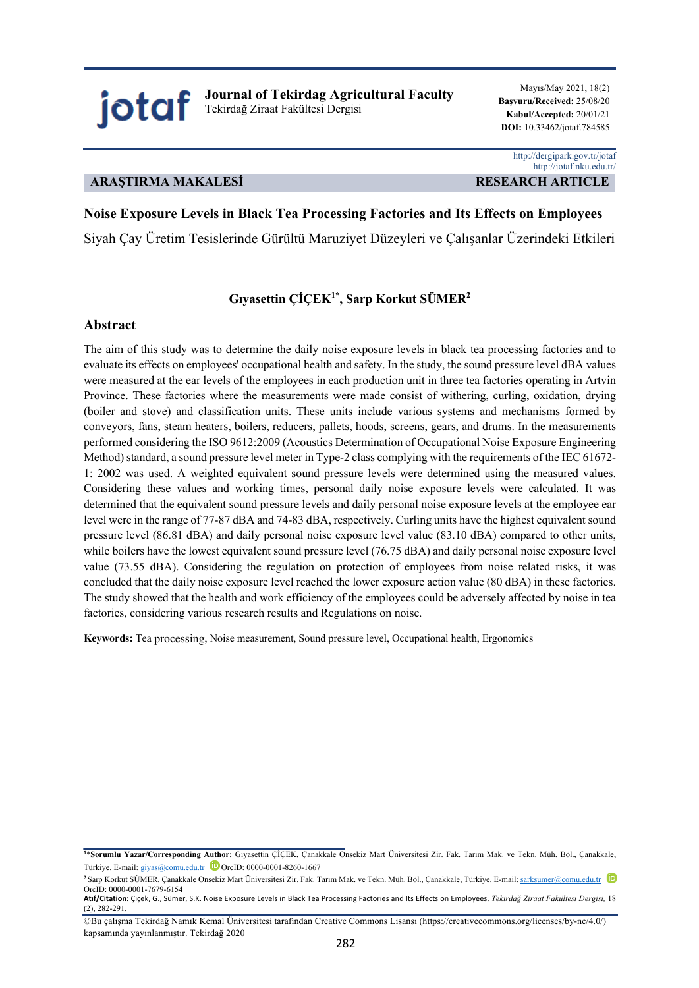**Journal of Tekirdag Agricultural Faculty** Tekirdağ Ziraat Fakültesi Dergisi

Mayıs/May 2021, 18(2) **Başvuru/Received:** 25/08/20 **Kabul/Accepted:** 20/01/21  **DOI:** 10.33462/jotaf.784585

## **ARAŞTIRMA MAKALESİ RESEARCH ARTICLE**

jotaf

 http://dergipark.gov.tr/jotaf http://jotaf.nku.edu.tr/

# **Noise Exposure Levels in Black Tea Processing Factories and Its Effects on Employees**

Siyah Çay Üretim Tesislerinde Gürültü Maruziyet Düzeyleri ve Çalışanlar Üzerindeki Etkileri

# **Gıyasettin ÇİÇEK1\* , Sarp Korkut SÜMER2**

## **Abstract**

The aim of this study was to determine the daily noise exposure levels in black tea processing factories and to evaluate its effects on employees' occupational health and safety. In the study, the sound pressure level dBA values were measured at the ear levels of the employees in each production unit in three tea factories operating in Artvin Province. These factories where the measurements were made consist of withering, curling, oxidation, drying (boiler and stove) and classification units. These units include various systems and mechanisms formed by conveyors, fans, steam heaters, boilers, reducers, pallets, hoods, screens, gears, and drums. In the measurements performed considering the ISO 9612:2009 (Acoustics Determination of Occupational Noise Exposure Engineering Method) standard, a sound pressure level meter in Type-2 class complying with the requirements of the IEC 61672- 1: 2002 was used. A weighted equivalent sound pressure levels were determined using the measured values. Considering these values and working times, personal daily noise exposure levels were calculated. It was determined that the equivalent sound pressure levels and daily personal noise exposure levels at the employee ear level were in the range of 77-87 dBA and 74-83 dBA, respectively. Curling units have the highest equivalent sound pressure level (86.81 dBA) and daily personal noise exposure level value (83.10 dBA) compared to other units, while boilers have the lowest equivalent sound pressure level (76.75 dBA) and daily personal noise exposure level value (73.55 dBA). Considering the regulation on protection of employees from noise related risks, it was concluded that the daily noise exposure level reached the lower exposure action value (80 dBA) in these factories. The study showed that the health and work efficiency of the employees could be adversely affected by noise in tea factories, considering various research results and Regulations on noise.

**Keywords:** Tea processing, Noise measurement, Sound pressure level, Occupational health, Ergonomics

**<sup>1</sup>**\***Sorumlu Yazar/Corresponding Author:** Gıyasettin ÇİÇEK, Çanakkale Onsekiz Mart Üniversitesi Zir. Fak. Tarım Mak. ve Tekn. Müh. Böl., Çanakkale, Türkiye. E-mail: giyas@comu.edu.tr DorcID: 0000-0001-8260-1667

**<sup>2</sup>**Sarp Korkut SÜMER, Çanakkale Onsekiz Mart Üniversitesi Zir. Fak. Tarım Mak. ve Tekn. Müh. Böl., Çanakkale, Türkiye. E-mail: sarksumer@comu.edu.tr OrcID: 0000-0001-7679-6154

**Atıf/Citation:** Çiçek, G., Sümer, S.K. Noise Exposure Levels in Black Tea Processing Factories and Its Effects on Employees. *Tekirdağ Ziraat Fakültesi Dergisi,* 18  $(2)$ , 282-291.

<sup>©</sup>Bu çalışma Tekirdağ Namık Kemal Üniversitesi tarafından Creative Commons Lisansı (https://creativecommons.org/licenses/by-nc/4.0/) kapsamında yayınlanmıştır. Tekirdağ 2020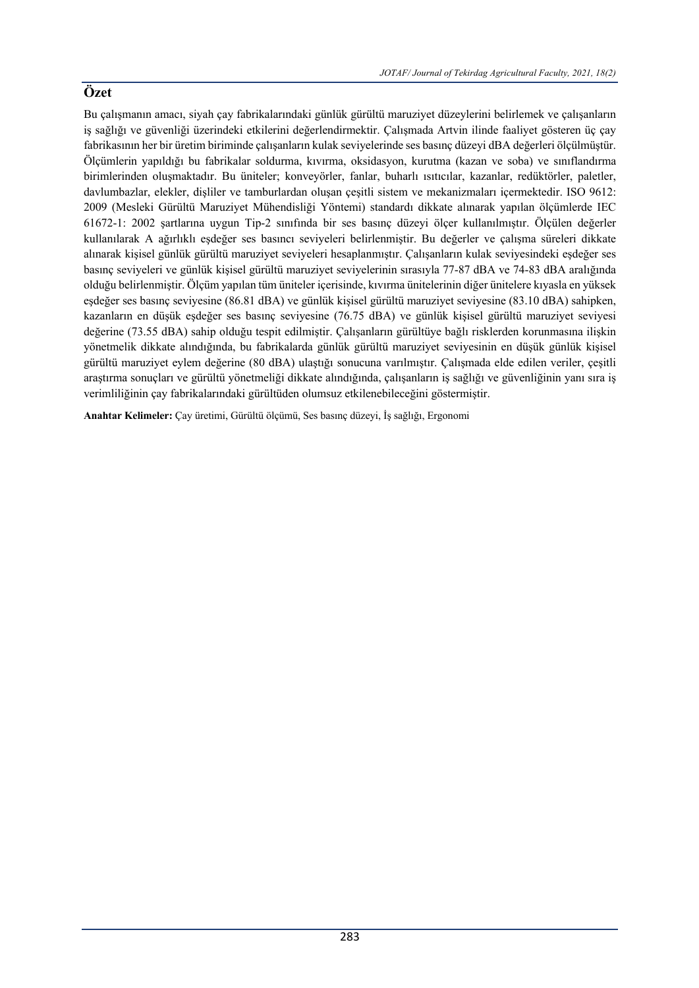Bu çalışmanın amacı, siyah çay fabrikalarındaki günlük gürültü maruziyet düzeylerini belirlemek ve çalışanların iş sağlığı ve güvenliği üzerindeki etkilerini değerlendirmektir. Çalışmada Artvin ilinde faaliyet gösteren üç çay fabrikasının her bir üretim biriminde çalışanların kulak seviyelerinde ses basınç düzeyi dBA değerleri ölçülmüştür. Ölçümlerin yapıldığı bu fabrikalar soldurma, kıvırma, oksidasyon, kurutma (kazan ve soba) ve sınıflandırma birimlerinden oluşmaktadır. Bu üniteler; konveyörler, fanlar, buharlı ısıtıcılar, kazanlar, redüktörler, paletler, davlumbazlar, elekler, dişliler ve tamburlardan oluşan çeşitli sistem ve mekanizmaları içermektedir. ISO 9612: 2009 (Mesleki Gürültü Maruziyet Mühendisliği Yöntemi) standardı dikkate alınarak yapılan ölçümlerde IEC 61672-1: 2002 şartlarına uygun Tip-2 sınıfında bir ses basınç düzeyi ölçer kullanılmıştır. Ölçülen değerler kullanılarak A ağırlıklı eşdeğer ses basıncı seviyeleri belirlenmiştir. Bu değerler ve çalışma süreleri dikkate alınarak kişisel günlük gürültü maruziyet seviyeleri hesaplanmıştır. Çalışanların kulak seviyesindeki eşdeğer ses basınç seviyeleri ve günlük kişisel gürültü maruziyet seviyelerinin sırasıyla 77-87 dBA ve 74-83 dBA aralığında olduğu belirlenmiştir. Ölçüm yapılan tüm üniteler içerisinde, kıvırma ünitelerinin diğer ünitelere kıyasla en yüksek eşdeğer ses basınç seviyesine (86.81 dBA) ve günlük kişisel gürültü maruziyet seviyesine (83.10 dBA) sahipken, kazanların en düşük eşdeğer ses basınç seviyesine (76.75 dBA) ve günlük kişisel gürültü maruziyet seviyesi değerine (73.55 dBA) sahip olduğu tespit edilmiştir. Çalışanların gürültüye bağlı risklerden korunmasına ilişkin yönetmelik dikkate alındığında, bu fabrikalarda günlük gürültü maruziyet seviyesinin en düşük günlük kişisel gürültü maruziyet eylem değerine (80 dBA) ulaştığı sonucuna varılmıştır. Çalışmada elde edilen veriler, çeşitli araştırma sonuçları ve gürültü yönetmeliği dikkate alındığında, çalışanların iş sağlığı ve güvenliğinin yanı sıra iş verimliliğinin çay fabrikalarındaki gürültüden olumsuz etkilenebileceğini göstermiştir.

**Anahtar Kelimeler:** Çay üretimi, Gürültü ölçümü, Ses basınç düzeyi, İş sağlığı, Ergonomi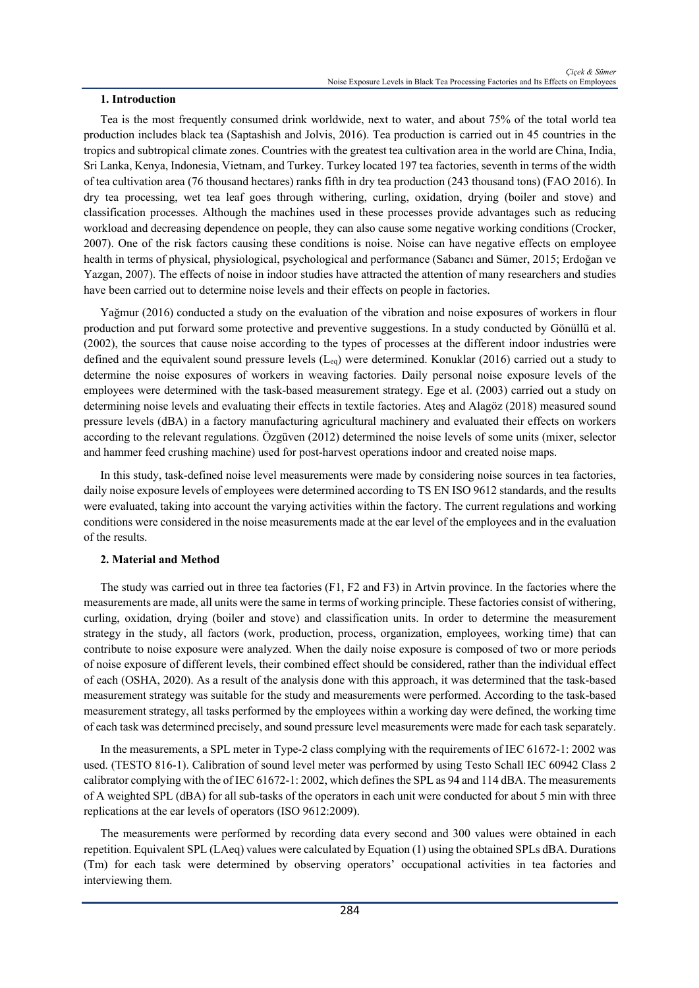## **1. Introduction**

Tea is the most frequently consumed drink worldwide, next to water, and about 75% of the total world tea production includes black tea (Saptashish and Jolvis, 2016). Tea production is carried out in 45 countries in the tropics and subtropical climate zones. Countries with the greatest tea cultivation area in the world are China, India, Sri Lanka, Kenya, Indonesia, Vietnam, and Turkey. Turkey located 197 tea factories, seventh in terms of the width of tea cultivation area (76 thousand hectares) ranks fifth in dry tea production (243 thousand tons) (FAO 2016). In dry tea processing, wet tea leaf goes through withering, curling, oxidation, drying (boiler and stove) and classification processes. Although the machines used in these processes provide advantages such as reducing workload and decreasing dependence on people, they can also cause some negative working conditions (Crocker, 2007). One of the risk factors causing these conditions is noise. Noise can have negative effects on employee health in terms of physical, physiological, psychological and performance (Sabancı and Sümer, 2015; Erdoğan ve Yazgan, 2007). The effects of noise in indoor studies have attracted the attention of many researchers and studies have been carried out to determine noise levels and their effects on people in factories.

Yağmur (2016) conducted a study on the evaluation of the vibration and noise exposures of workers in flour production and put forward some protective and preventive suggestions. In a study conducted by Gönüllü et al. (2002), the sources that cause noise according to the types of processes at the different indoor industries were defined and the equivalent sound pressure levels  $(L_{eq})$  were determined. Konuklar (2016) carried out a study to determine the noise exposures of workers in weaving factories. Daily personal noise exposure levels of the employees were determined with the task-based measurement strategy. Ege et al. (2003) carried out a study on determining noise levels and evaluating their effects in textile factories. Ateş and Alagöz (2018) measured sound pressure levels (dBA) in a factory manufacturing agricultural machinery and evaluated their effects on workers according to the relevant regulations. Özgüven (2012) determined the noise levels of some units (mixer, selector and hammer feed crushing machine) used for post-harvest operations indoor and created noise maps.

In this study, task-defined noise level measurements were made by considering noise sources in tea factories, daily noise exposure levels of employees were determined according to TS EN ISO 9612 standards, and the results were evaluated, taking into account the varying activities within the factory. The current regulations and working conditions were considered in the noise measurements made at the ear level of the employees and in the evaluation of the results.

## **2. Material and Method**

The study was carried out in three tea factories (F1, F2 and F3) in Artvin province. In the factories where the measurements are made, all units were the same in terms of working principle. These factories consist of withering, curling, oxidation, drying (boiler and stove) and classification units. In order to determine the measurement strategy in the study, all factors (work, production, process, organization, employees, working time) that can contribute to noise exposure were analyzed. When the daily noise exposure is composed of two or more periods of noise exposure of different levels, their combined effect should be considered, rather than the individual effect of each (OSHA, 2020). As a result of the analysis done with this approach, it was determined that the task-based measurement strategy was suitable for the study and measurements were performed. According to the task-based measurement strategy, all tasks performed by the employees within a working day were defined, the working time of each task was determined precisely, and sound pressure level measurements were made for each task separately.

In the measurements, a SPL meter in Type-2 class complying with the requirements of IEC 61672-1: 2002 was used. (TESTO 816-1). Calibration of sound level meter was performed by using Testo Schall IEC 60942 Class 2 calibrator complying with the of IEC 61672-1: 2002, which defines the SPL as 94 and 114 dBA. The measurements of A weighted SPL (dBA) for all sub-tasks of the operators in each unit were conducted for about 5 min with three replications at the ear levels of operators (ISO 9612:2009).

The measurements were performed by recording data every second and 300 values were obtained in each repetition. Equivalent SPL (LAeq) values were calculated by Equation (1) using the obtained SPLs dBA. Durations (Tm) for each task were determined by observing operators' occupational activities in tea factories and interviewing them.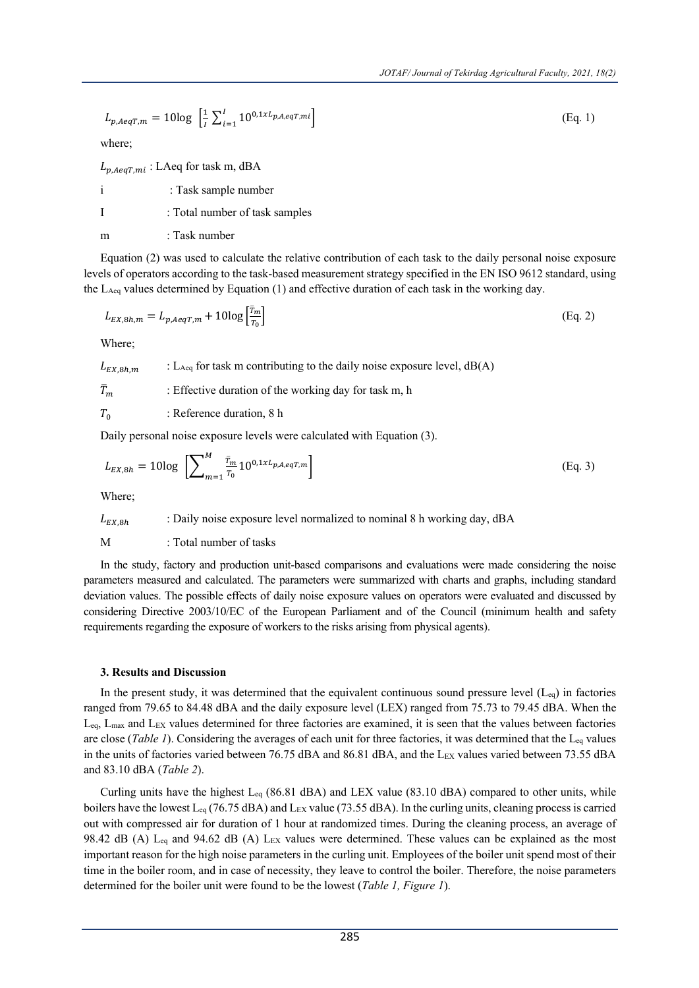$$
L_{p, AeqT, m} = 10\log\left[\frac{1}{I}\sum_{i=1}^{I}10^{0.1xL_{p, A, eqT, mi}}\right]
$$
(Eq. 1)

where;

 $L_{p, AeqT, mi}: LAeq$  for task m, dBA

i : Task sample number

I : Total number of task samples

m : Task number

Equation (2) was used to calculate the relative contribution of each task to the daily personal noise exposure levels of operators according to the task-based measurement strategy specified in the EN ISO 9612 standard, using the LAeq values determined by Equation (1) and effective duration of each task in the working day.

$$
L_{EX,8h,m} = L_{p,AeqT,m} + 10\log\left[\frac{\bar{r}_m}{r_0}\right]
$$
\n(Eq. 2)

Where;

 $L_{EX,8h,m}$  : L<sub>Aeq</sub> for task m contributing to the daily noise exposure level, dB(A)

 $\bar{T}_m$ : Effective duration of the working day for task m, h

 $T_0$  : Reference duration, 8 h

Daily personal noise exposure levels were calculated with Equation (3).

$$
L_{EX,8h} = 10\log\left[\sum_{m=1}^{M} \frac{\bar{r}_m}{r_0} 10^{0,1 \times L_{p,A,eqT,m}}\right]
$$
(Eq. 3)

Where;

$$
L_{EX,8h}
$$
 : Daily noise exposure level normalized to nominal 8 h working day, dBA

M : Total number of tasks

In the study, factory and production unit-based comparisons and evaluations were made considering the noise parameters measured and calculated. The parameters were summarized with charts and graphs, including standard deviation values. The possible effects of daily noise exposure values on operators were evaluated and discussed by considering Directive 2003/10/EC of the European Parliament and of the Council (minimum health and safety requirements regarding the exposure of workers to the risks arising from physical agents).

## **3. Results and Discussion**

In the present study, it was determined that the equivalent continuous sound pressure level  $(L_{eq})$  in factories ranged from 79.65 to 84.48 dBA and the daily exposure level (LEX) ranged from 75.73 to 79.45 dBA. When the Leq, Lmax and LEX values determined for three factories are examined, it is seen that the values between factories are close (*Table 1*). Considering the averages of each unit for three factories, it was determined that the Leq values in the units of factories varied between 76.75 dBA and 86.81 dBA, and the LEX values varied between 73.55 dBA and 83.10 dBA (*Table 2*).

Curling units have the highest  $L_{eq}$  (86.81 dBA) and LEX value (83.10 dBA) compared to other units, while boilers have the lowest L<sub>eq</sub> (76.75 dBA) and L<sub>EX</sub> value (73.55 dBA). In the curling units, cleaning process is carried out with compressed air for duration of 1 hour at randomized times. During the cleaning process, an average of 98.42 dB (A) L<sub>eq</sub> and 94.62 dB (A) L<sub>EX</sub> values were determined. These values can be explained as the most important reason for the high noise parameters in the curling unit. Employees of the boiler unit spend most of their time in the boiler room, and in case of necessity, they leave to control the boiler. Therefore, the noise parameters determined for the boiler unit were found to be the lowest (*Table 1, Figure 1*).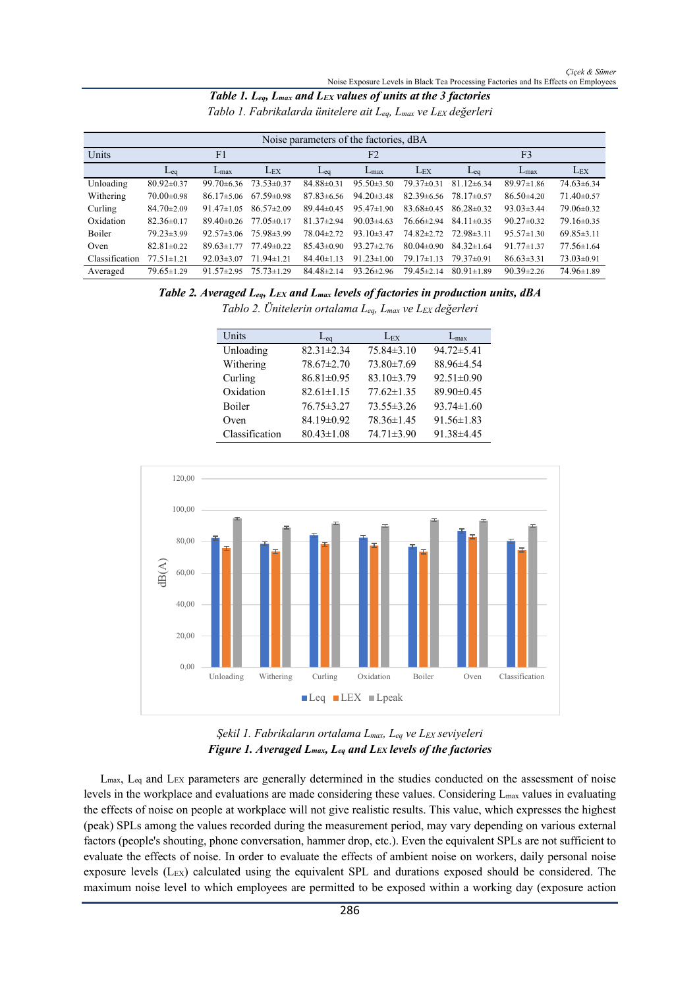| Table 1. $L_{eq}$ , $L_{max}$ and $L_{EX}$ values of units at the 3 factories  |  |
|--------------------------------------------------------------------------------|--|
| Tablo 1. Fabrikalarda ünitelere ait $L_{eq}$ , $L_{max}$ ve $L_{EX}$ değerleri |  |

| Noise parameters of the factories, dBA |                  |                  |                  |                  |                  |                  |                  |                     |                  |
|----------------------------------------|------------------|------------------|------------------|------------------|------------------|------------------|------------------|---------------------|------------------|
| Units                                  | F <sub>1</sub>   |                  |                  | F <sub>2</sub>   |                  | F <sub>3</sub>   |                  |                     |                  |
|                                        | $L_{eq}$         | $L_{\text{max}}$ | $L_{EX}$         | $eq$             | $L_{\text{max}}$ | $L_{EX}$         | $L_{eq}$         | $L_{\text{max}}$    | $L_{EX}$         |
| Unloading                              | $80.92 \pm 0.37$ | $99.70 \pm 6.36$ | $73.53 \pm 0.37$ | $84.88 \pm 0.31$ | $95.50 \pm 3.50$ | $79.37 \pm 0.31$ | $81.12 \pm 6.34$ | $89.97 \pm 1.86$    | $74.63 \pm 6.34$ |
| Withering                              | $70.00 \pm 0.98$ | $86.17 \pm 5.06$ | $67.59 \pm 0.98$ | $87.83\pm 6.56$  | $94.20 \pm 3.48$ | $82.39 \pm 6.56$ | $78.17 \pm 0.57$ | $86.50\text{±}4.20$ | $71.40 \pm 0.57$ |
| Curling                                | $84.70 \pm 2.09$ | $91.47 \pm 1.05$ | $86.57 \pm 2.09$ | $89.44 \pm 0.45$ | $95.47 \pm 1.90$ | $83.68 \pm 0.45$ | $86.28 \pm 0.32$ | $93.03 \pm 3.44$    | 79.06±0.32       |
| Oxidation                              | $82.36 \pm 0.17$ | $89.40 \pm 0.26$ | $77.05 \pm 0.17$ | $81.37 \pm 2.94$ | $90.03{\pm}4.63$ | 76.66±2.94       | $84.11 \pm 0.35$ | $90.27 \pm 0.32$    | $79.16 \pm 0.35$ |
| <b>Boiler</b>                          | $79.23 \pm 3.99$ | $92.57 \pm 3.06$ | $75.98 \pm 3.99$ | $78.04 + 2.72$   | $93.10 \pm 3.47$ | $74.82 \pm 2.72$ | $72.98\pm3.11$   | $95.57 \pm 1.30$    | $69.85 \pm 3.11$ |
| Oven                                   | $82.81 \pm 0.22$ | $89.63 \pm 1.77$ | $77.49 \pm 0.22$ | $85.43 \pm 0.90$ | $93.27 \pm 2.76$ | $80.04 \pm 0.90$ | $84.32 \pm 1.64$ | $91.77 \pm 1.37$    | $77.56 \pm 1.64$ |
| Classification                         | $77.51 \pm 1.21$ | $92.03 \pm 3.07$ | $71.94 \pm 1.21$ | $84.40 \pm 1.13$ | $91.23 \pm 1.00$ | $79.17 \pm 1.13$ | $79.37 \pm 0.91$ | $86.63\pm3.31$      | $73.03 \pm 0.91$ |
| Averaged                               | $79.65 \pm 1.29$ | $91.57 \pm 2.95$ | $75.73 \pm 1.29$ | $84.48 \pm 2.14$ | $93.26 \pm 2.96$ | $79.45 \pm 2.14$ | $80.91 \pm 1.89$ | $90.39 \pm 2.26$    | 74.96±1.89       |

*Table 2. Averaged Leq, LEX and Lmax levels of factories in production units, dBA Tablo 2. Ünitelerin ortalama Leq, Lmax ve LEX değerleri*

| Units          | $L_{eq}$         | $L_{EX}$         | $L_{\rm max}$    |
|----------------|------------------|------------------|------------------|
| Unloading      | $82.31 \pm 2.34$ | $75.84\pm3.10$   | $94.72 \pm 5.41$ |
| Withering      | 78.67±2.70       | 73.80±7.69       | 88.96±4.54       |
| Curling        | $86.81 \pm 0.95$ | $83.10 \pm 3.79$ | $92.51 \pm 0.90$ |
| Oxidation      | $82.61 \pm 1.15$ | $77.62 \pm 1.35$ | 89.90±0.45       |
| Boiler         | $76.75 \pm 3.27$ | $73.55 \pm 3.26$ | $93.74 \pm 1.60$ |
| Oven           | 84.19±0.92       | 78.36±1.45       | $91.56 \pm 1.83$ |
| Classification | $80.43 \pm 1.08$ | $74.71 \pm 3.90$ | 91.38±4.45       |





*Şekil 1. Fabrikaların ortalama Lmax, Leq ve LEX seviyeleri Figure 1. Averaged Lmax, Leq and LEX levels of the factories*

Lmax, Leq and LEX parameters are generally determined in the studies conducted on the assessment of noise levels in the workplace and evaluations are made considering these values. Considering Lmax values in evaluating the effects of noise on people at workplace will not give realistic results. This value, which expresses the highest (peak) SPLs among the values recorded during the measurement period, may vary depending on various external factors (people's shouting, phone conversation, hammer drop, etc.). Even the equivalent SPLs are not sufficient to evaluate the effects of noise. In order to evaluate the effects of ambient noise on workers, daily personal noise exposure levels (L<sub>EX</sub>) calculated using the equivalent SPL and durations exposed should be considered. The maximum noise level to which employees are permitted to be exposed within a working day (exposure action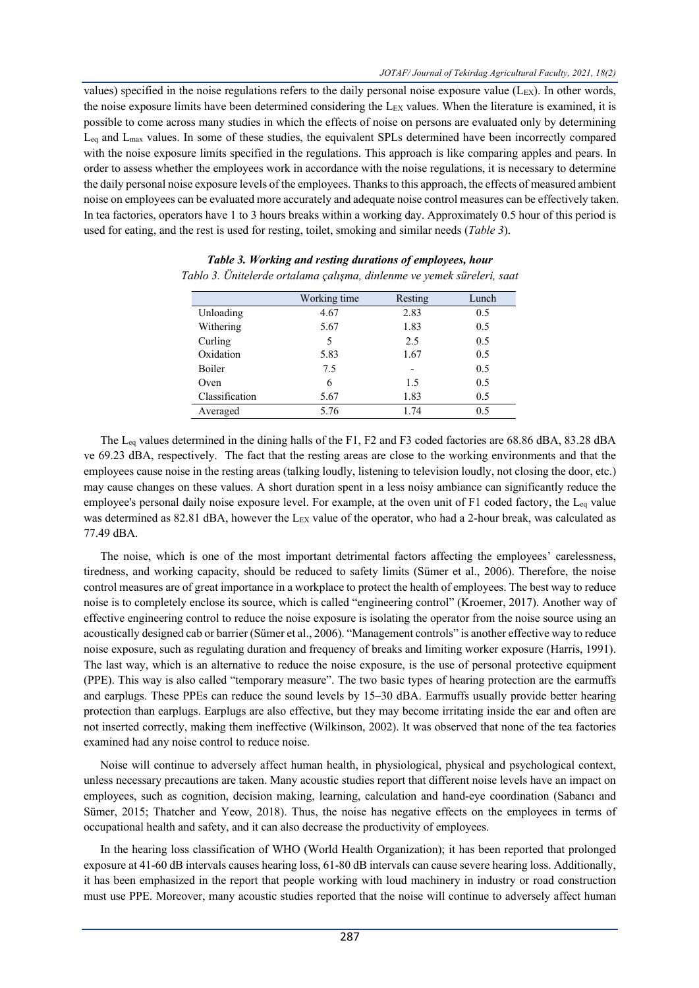values) specified in the noise regulations refers to the daily personal noise exposure value (L<sub>EX</sub>). In other words, the noise exposure limits have been determined considering the L<sub>EX</sub> values. When the literature is examined, it is possible to come across many studies in which the effects of noise on persons are evaluated only by determining Leq and Lmax values. In some of these studies, the equivalent SPLs determined have been incorrectly compared with the noise exposure limits specified in the regulations. This approach is like comparing apples and pears. In order to assess whether the employees work in accordance with the noise regulations, it is necessary to determine the daily personal noise exposure levels of the employees. Thanks to this approach, the effects of measured ambient noise on employees can be evaluated more accurately and adequate noise control measures can be effectively taken. In tea factories, operators have 1 to 3 hours breaks within a working day. Approximately 0.5 hour of this period is used for eating, and the rest is used for resting, toilet, smoking and similar needs (*Table 3*).

|                | Working time | Resting | Lunch |
|----------------|--------------|---------|-------|
| Unloading      | 4.67         | 2.83    | 0.5   |
| Withering      | 5.67         | 1.83    | 0.5   |
| Curling        | 5            | 2.5     | 0.5   |
| Oxidation      | 5.83         | 1.67    | 0.5   |
| <b>Boiler</b>  | 7.5          |         | 0.5   |
| Oven           | 6            | 1.5     | 0.5   |
| Classification | 5.67         | 1.83    | 0.5   |
| Averaged       | 5.76         | 1.74    | 0.5   |

*Table 3. Working and resting durations of employees, hour Tablo 3. Ünitelerde ortalama çalışma, dinlenme ve yemek süreleri, saat*

The L<sub>eq</sub> values determined in the dining halls of the F1, F2 and F3 coded factories are 68.86 dBA, 83.28 dBA ve 69.23 dBA, respectively. The fact that the resting areas are close to the working environments and that the employees cause noise in the resting areas (talking loudly, listening to television loudly, not closing the door, etc.) may cause changes on these values. A short duration spent in a less noisy ambiance can significantly reduce the employee's personal daily noise exposure level. For example, at the oven unit of F1 coded factory, the Leq value was determined as 82.81 dBA, however the LEX value of the operator, who had a 2-hour break, was calculated as 77.49 dBA.

The noise, which is one of the most important detrimental factors affecting the employees' carelessness, tiredness, and working capacity, should be reduced to safety limits (Sümer et al., 2006). Therefore, the noise control measures are of great importance in a workplace to protect the health of employees. The best way to reduce noise is to completely enclose its source, which is called "engineering control" (Kroemer, 2017). Another way of effective engineering control to reduce the noise exposure is isolating the operator from the noise source using an acoustically designed cab or barrier (Sümer et al., 2006). "Management controls" is another effective way to reduce noise exposure, such as regulating duration and frequency of breaks and limiting worker exposure (Harris, 1991). The last way, which is an alternative to reduce the noise exposure, is the use of personal protective equipment (PPE). This way is also called "temporary measure". The two basic types of hearing protection are the earmuffs and earplugs. These PPEs can reduce the sound levels by 15–30 dBA. Earmuffs usually provide better hearing protection than earplugs. Earplugs are also effective, but they may become irritating inside the ear and often are not inserted correctly, making them ineffective (Wilkinson, 2002). It was observed that none of the tea factories examined had any noise control to reduce noise.

Noise will continue to adversely affect human health, in physiological, physical and psychological context, unless necessary precautions are taken. Many acoustic studies report that different noise levels have an impact on employees, such as cognition, decision making, learning, calculation and hand-eye coordination (Sabancı and Sümer, 2015; Thatcher and Yeow, 2018). Thus, the noise has negative effects on the employees in terms of occupational health and safety, and it can also decrease the productivity of employees.

In the hearing loss classification of WHO (World Health Organization); it has been reported that prolonged exposure at 41-60 dB intervals causes hearing loss, 61-80 dB intervals can cause severe hearing loss. Additionally, it has been emphasized in the report that people working with loud machinery in industry or road construction must use PPE. Moreover, many acoustic studies reported that the noise will continue to adversely affect human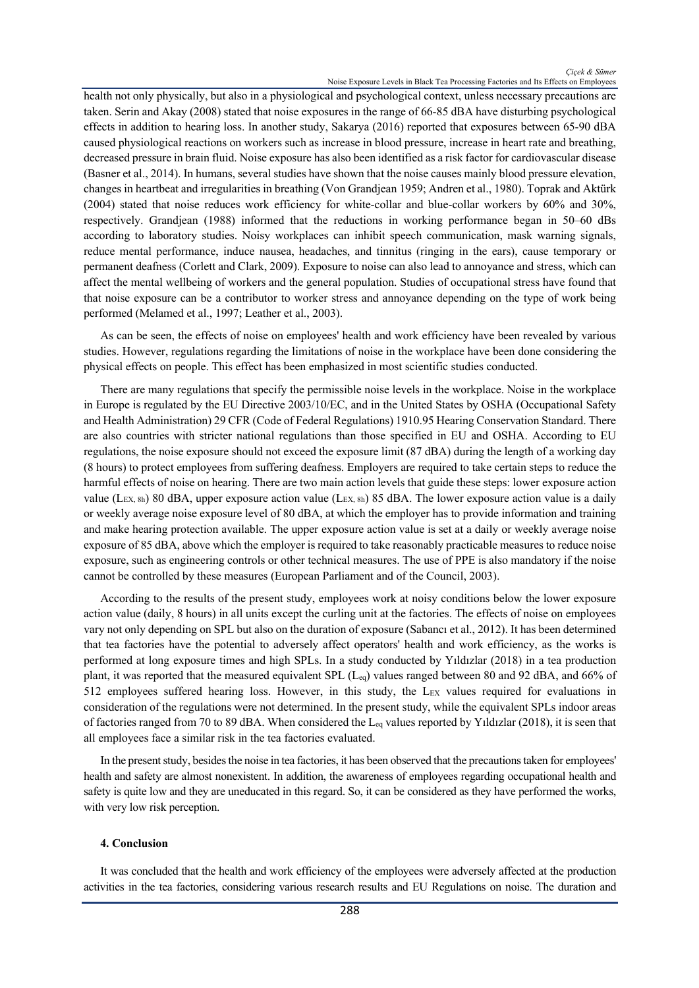health not only physically, but also in a physiological and psychological context, unless necessary precautions are taken. Serin and Akay (2008) stated that noise exposures in the range of 66-85 dBA have disturbing psychological effects in addition to hearing loss. In another study, Sakarya (2016) reported that exposures between 65-90 dBA caused physiological reactions on workers such as increase in blood pressure, increase in heart rate and breathing, decreased pressure in brain fluid. Noise exposure has also been identified as a risk factor for cardiovascular disease (Basner et al., 2014). In humans, several studies have shown that the noise causes mainly blood pressure elevation, changes in heartbeat and irregularities in breathing (Von Grandjean 1959; Andren et al., 1980). Toprak and Aktürk (2004) stated that noise reduces work efficiency for white-collar and blue-collar workers by 60% and 30%, respectively. Grandjean (1988) informed that the reductions in working performance began in 50–60 dBs according to laboratory studies. Noisy workplaces can inhibit speech communication, mask warning signals, reduce mental performance, induce nausea, headaches, and tinnitus (ringing in the ears), cause temporary or permanent deafness (Corlett and Clark, 2009). Exposure to noise can also lead to annoyance and stress, which can affect the mental wellbeing of workers and the general population. Studies of occupational stress have found that that noise exposure can be a contributor to worker stress and annoyance depending on the type of work being performed (Melamed et al., 1997; Leather et al., 2003).

As can be seen, the effects of noise on employees' health and work efficiency have been revealed by various studies. However, regulations regarding the limitations of noise in the workplace have been done considering the physical effects on people. This effect has been emphasized in most scientific studies conducted.

There are many regulations that specify the permissible noise levels in the workplace. Noise in the workplace in Europe is regulated by the EU Directive 2003/10/EC, and in the United States by OSHA (Occupational Safety and Health Administration) 29 CFR (Code of Federal Regulations) 1910.95 Hearing Conservation Standard. There are also countries with stricter national regulations than those specified in EU and OSHA. According to EU regulations, the noise exposure should not exceed the exposure limit (87 dBA) during the length of a working day (8 hours) to protect employees from suffering deafness. Employers are required to take certain steps to reduce the harmful effects of noise on hearing. There are two main action levels that guide these steps: lower exposure action value (L<sub>EX, 8h</sub>) 80 dBA, upper exposure action value (L<sub>EX, 8h</sub>) 85 dBA. The lower exposure action value is a daily or weekly average noise exposure level of 80 dBA, at which the employer has to provide information and training and make hearing protection available. The upper exposure action value is set at a daily or weekly average noise exposure of 85 dBA, above which the employer is required to take reasonably practicable measures to reduce noise exposure, such as engineering controls or other technical measures. The use of PPE is also mandatory if the noise cannot be controlled by these measures (European Parliament and of the Council, 2003).

According to the results of the present study, employees work at noisy conditions below the lower exposure action value (daily, 8 hours) in all units except the curling unit at the factories. The effects of noise on employees vary not only depending on SPL but also on the duration of exposure (Sabancı et al., 2012). It has been determined that tea factories have the potential to adversely affect operators' health and work efficiency, as the works is performed at long exposure times and high SPLs. In a study conducted by Yıldızlar (2018) in a tea production plant, it was reported that the measured equivalent SPL (Leq) values ranged between 80 and 92 dBA, and 66% of 512 employees suffered hearing loss. However, in this study, the LEX values required for evaluations in consideration of the regulations were not determined. In the present study, while the equivalent SPLs indoor areas of factories ranged from 70 to 89 dBA. When considered the L<sub>eq</sub> values reported by Yıldızlar (2018), it is seen that all employees face a similar risk in the tea factories evaluated.

In the present study, besides the noise in tea factories, it has been observed that the precautions taken for employees' health and safety are almost nonexistent. In addition, the awareness of employees regarding occupational health and safety is quite low and they are uneducated in this regard. So, it can be considered as they have performed the works, with very low risk perception.

## **4. Conclusion**

It was concluded that the health and work efficiency of the employees were adversely affected at the production activities in the tea factories, considering various research results and EU Regulations on noise. The duration and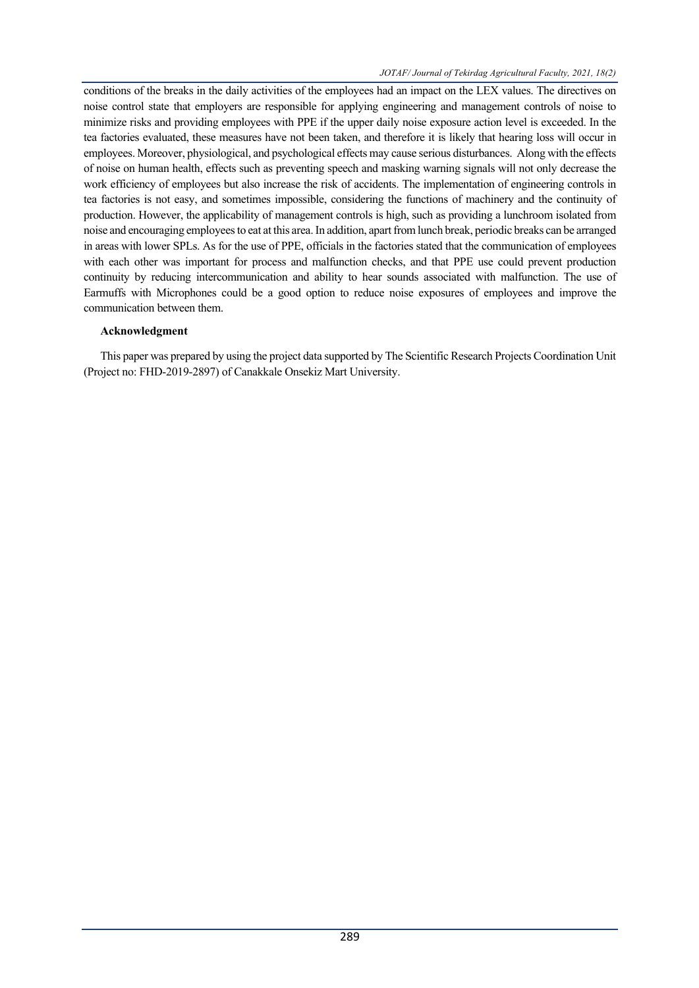conditions of the breaks in the daily activities of the employees had an impact on the LEX values. The directives on noise control state that employers are responsible for applying engineering and management controls of noise to minimize risks and providing employees with PPE if the upper daily noise exposure action level is exceeded. In the tea factories evaluated, these measures have not been taken, and therefore it is likely that hearing loss will occur in employees. Moreover, physiological, and psychological effects may cause serious disturbances. Along with the effects of noise on human health, effects such as preventing speech and masking warning signals will not only decrease the work efficiency of employees but also increase the risk of accidents. The implementation of engineering controls in tea factories is not easy, and sometimes impossible, considering the functions of machinery and the continuity of production. However, the applicability of management controls is high, such as providing a lunchroom isolated from noise and encouraging employees to eat at this area. In addition, apart from lunch break, periodic breaks can be arranged in areas with lower SPLs. As for the use of PPE, officials in the factories stated that the communication of employees with each other was important for process and malfunction checks, and that PPE use could prevent production continuity by reducing intercommunication and ability to hear sounds associated with malfunction. The use of Earmuffs with Microphones could be a good option to reduce noise exposures of employees and improve the communication between them.

## **Acknowledgment**

This paper was prepared by using the project data supported by The Scientific Research Projects Coordination Unit (Project no: FHD-2019-2897) of Canakkale Onsekiz Mart University.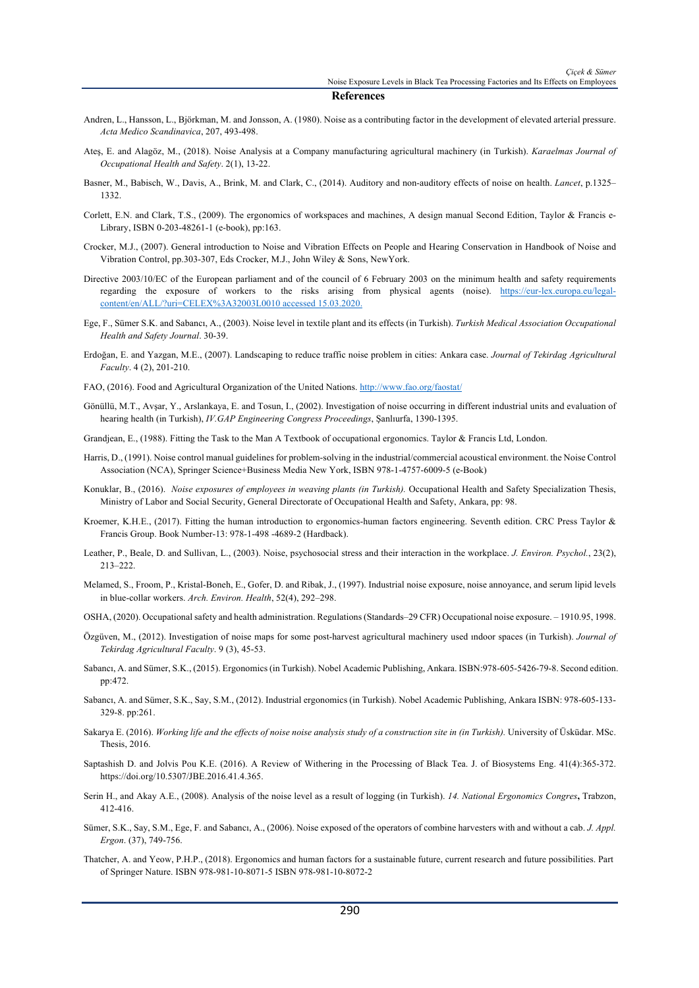#### **References**

- Andren, L., Hansson, L., Björkman, M. and Jonsson, A. (1980). Noise as a contributing factor in the development of elevated arterial pressure. *Acta Medico Scandinavica*, 207, 493-498.
- Ateş, E. and Alagöz, M., (2018). Noise Analysis at a Company manufacturing agricultural machinery (in Turkish). *Karaelmas Journal of Occupational Health and Safety*. 2(1), 13-22.
- Basner, M., Babisch, W., Davis, A., Brink, M. and Clark, C., (2014). Auditory and non-auditory effects of noise on health. *Lancet*, p.1325– 1332.
- Corlett, E.N. and Clark, T.S., (2009). The ergonomics of workspaces and machines, A design manual Second Edition, Taylor & Francis e-Library, ISBN 0-203-48261-1 (e-book), pp:163.
- Crocker, M.J., (2007). General introduction to Noise and Vibration Effects on People and Hearing Conservation in Handbook of Noise and Vibration Control, pp.303-307, Eds Crocker, M.J., John Wiley & Sons, NewYork.
- Directive 2003/10/EC of the European parliament and of the council of 6 February 2003 on the minimum health and safety requirements regarding the exposure of workers to the risks arising from physical agents (noise). https://eur-lex.europa.eu/legalcontent/en/ALL/?uri=CELEX%3A32003L0010 accessed 15.03.2020.
- Ege, F., Sümer S.K. and Sabancı, A., (2003). Noise level in textile plant and its effects (in Turkish). *Turkish Medical Association Occupational Health and Safety Journal*. 30-39.
- Erdoğan, E. and Yazgan, M.E., (2007). Landscaping to reduce traffic noise problem in cities: Ankara case. *Journal of Tekirdag Agricultural Faculty*. 4 (2), 201-210.
- FAO, (2016). Food and Agricultural Organization of the United Nations. http://www.fao.org/faostat/
- Gönüllü, M.T., Avşar, Y., Arslankaya, E. and Tosun, I., (2002). Investigation of noise occurring in different industrial units and evaluation of hearing health (in Turkish), *IV.GAP Engineering Congress Proceedings*, Şanlıurfa, 1390-1395.
- Grandjean, E., (1988). Fitting the Task to the Man A Textbook of occupational ergonomics. Taylor & Francis Ltd, London.
- Harris, D., (1991). Noise control manual guidelines for problem-solving in the industrial/commercial acoustical environment. the Noise Control Association (NCA), Springer Science+Business Media New York, ISBN 978-1-4757-6009-5 (e-Book)
- Konuklar, B., (2016). *Noise exposures of employees in weaving plants (in Turkish).* Occupational Health and Safety Specialization Thesis, Ministry of Labor and Social Security, General Directorate of Occupational Health and Safety, Ankara, pp: 98.
- Kroemer, K.H.E., (2017). Fitting the human introduction to ergonomics-human factors engineering. Seventh edition. CRC Press Taylor & Francis Group. Book Number-13: 978-1-498 -4689-2 (Hardback).
- Leather, P., Beale, D. and Sullivan, L., (2003). Noise, psychosocial stress and their interaction in the workplace. *J. Environ. Psychol.*, 23(2), 213–222.
- Melamed, S., Froom, P., Kristal-Boneh, E., Gofer, D. and Ribak, J., (1997). Industrial noise exposure, noise annoyance, and serum lipid levels in blue-collar workers. *Arch. Environ. Health*, 52(4), 292–298.
- OSHA, (2020). Occupational safety and health administration. Regulations (Standards–29 CFR) Occupational noise exposure. 1910.95, 1998.
- Özgüven, M., (2012). Investigation of noise maps for some post-harvest agricultural machinery used ındoor spaces (in Turkish). *Journal of Tekirdag Agricultural Faculty*. 9 (3), 45-53.
- Sabancı, A. and Sümer, S.K., (2015). Ergonomics (in Turkish). Nobel Academic Publishing, Ankara. ISBN:978-605-5426-79-8. Second edition. pp:472.
- Sabancı, A. and Sümer, S.K., Say, S.M., (2012). Industrial ergonomics (in Turkish). Nobel Academic Publishing, Ankara ISBN: 978-605-133- 329-8. pp:261.
- Sakarya E. (2016). *Working life and the effects of noise noise analysis study of a construction site in (in Turkish).* University of Üsküdar. MSc. Thesis, 2016.
- Saptashish D. and Jolvis Pou K.E. (2016). A Review of Withering in the Processing of Black Tea. J. of Biosystems Eng. 41(4):365-372. https://doi.org/10.5307/JBE.2016.41.4.365.
- Serin H., and Akay A.E., (2008). Analysis of the noise level as a result of logging (in Turkish). *14. National Ergonomics Congres***,** Trabzon, 412-416.
- Sümer, S.K., Say, S.M., Ege, F. and Sabancı, A., (2006). Noise exposed of the operators of combine harvesters with and without a cab. *J. Appl. Ergon*. (37), 749-756.
- Thatcher, A. and Yeow, P.H.P., (2018). Ergonomics and human factors for a sustainable future, current research and future possibilities. Part of Springer Nature. ISBN 978-981-10-8071-5 ISBN 978-981-10-8072-2